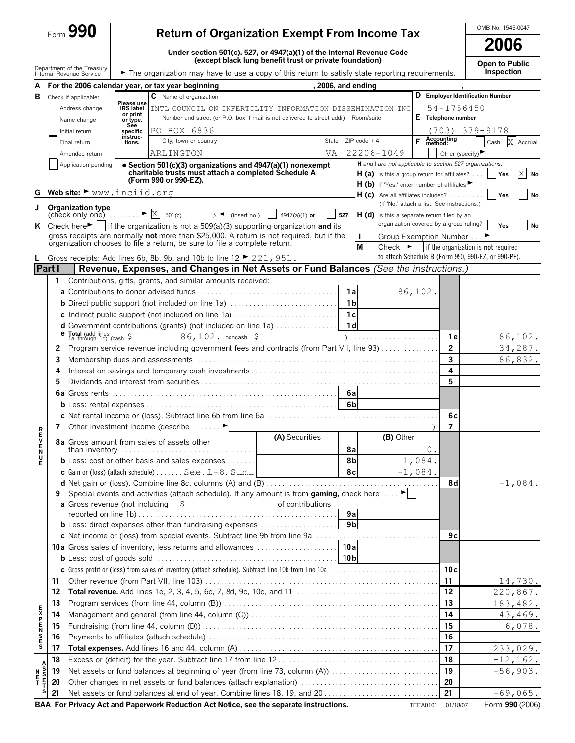| Form $\boldsymbol{\omega}$ . | 990 |  |
|------------------------------|-----|--|
|------------------------------|-----|--|

OMB No. 1545-0047

|  | Open to Public |
|--|----------------|
|  |                |

|                            | Form $990$<br><b>Return of Organization Exempt From Income Tax</b> |                                                                                                      |                                |                                                                                                                                                        |                                                         |                      | OMB No. 1545-0047                                                                   |            |                                       |                                                                 |           |  |
|----------------------------|--------------------------------------------------------------------|------------------------------------------------------------------------------------------------------|--------------------------------|--------------------------------------------------------------------------------------------------------------------------------------------------------|---------------------------------------------------------|----------------------|-------------------------------------------------------------------------------------|------------|---------------------------------------|-----------------------------------------------------------------|-----------|--|
|                            |                                                                    |                                                                                                      |                                |                                                                                                                                                        |                                                         |                      |                                                                                     | 2006       |                                       |                                                                 |           |  |
|                            |                                                                    |                                                                                                      |                                | Under section 501(c), 527, or 4947(a)(1) of the Internal Revenue Code                                                                                  | (except black lung benefit trust or private foundation) |                      |                                                                                     |            |                                       |                                                                 |           |  |
|                            |                                                                    | Department of the Treasury                                                                           |                                |                                                                                                                                                        |                                                         |                      |                                                                                     |            |                                       | Open to Public<br>Inspection                                    |           |  |
|                            |                                                                    | Internal Revenue Service                                                                             |                                | The organization may have to use a copy of this return to satisfy state reporting requirements.                                                        |                                                         |                      |                                                                                     |            |                                       |                                                                 |           |  |
| A                          |                                                                    |                                                                                                      |                                | For the 2006 calendar year, or tax year beginning<br>C Name of organization                                                                            | 2006, and ending                                        |                      |                                                                                     |            |                                       | D Employer Identification Number                                |           |  |
| в                          |                                                                    | Check if applicable:<br>Address change                                                               | Please use<br><b>IRS</b> label |                                                                                                                                                        |                                                         |                      |                                                                                     |            | 54-1756450                            |                                                                 |           |  |
|                            |                                                                    | Name change                                                                                          | or print                       | INTL COUNCIL ON INFERTILITY INFORMATION DISSEMINATION INC<br>Number and street (or P.O. box if mail is not delivered to street addr) Room/suite        |                                                         |                      |                                                                                     |            | E Telephone number                    |                                                                 |           |  |
|                            |                                                                    | Initial return                                                                                       | or type.<br>See<br>specific    | PO BOX 6836                                                                                                                                            |                                                         |                      |                                                                                     |            |                                       | $(703)$ $379 - 9178$                                            |           |  |
|                            |                                                                    | Final return                                                                                         | instruc-<br>tions.             | City, town or country                                                                                                                                  |                                                         |                      | State $ZIP code + 4$                                                                |            | <b>F</b> Accounting                   | Cash                                                            | X Accrual |  |
|                            |                                                                    | Amended return                                                                                       |                                | ARLINGTON                                                                                                                                              | VA                                                      |                      | 22206-1049                                                                          |            | Other (specify) $\blacktriangleright$ |                                                                 |           |  |
|                            |                                                                    | Application pending                                                                                  |                                | • Section 501(c)(3) organizations and 4947(a)(1) nonexempt                                                                                             |                                                         |                      | H and I are not applicable to section 527 organizations.                            |            |                                       |                                                                 |           |  |
|                            |                                                                    |                                                                                                      |                                | charitable trusts must attach a completed Schedule A                                                                                                   |                                                         |                      | $H(a)$ is this a group return for affiliates?                                       |            |                                       | Yes                                                             | Χ<br>No   |  |
|                            |                                                                    |                                                                                                      |                                | (Form 990 or 990-EZ).                                                                                                                                  |                                                         |                      | H (b) If 'Yes,' enter number of affiliates                                          |            |                                       |                                                                 |           |  |
| G                          |                                                                    | Web site: $\blacktriangleright$ www.inciid.org                                                       |                                |                                                                                                                                                        |                                                         |                      | $H (c)$ Are all affiliates included?<br>(If 'No,' attach a list. See instructions.) |            |                                       | <b>Yes</b>                                                      | No        |  |
| J                          |                                                                    | <b>Organization type</b><br>$\left[\text{check only one}\right]$ $\longrightarrow \mathbb{X}$ 501(c) |                                | $3 \triangleleft$ (insert no.)                                                                                                                         | 4947(a)(1) or                                           | 527                  | H (d) Is this a separate return filed by an                                         |            |                                       |                                                                 |           |  |
|                            |                                                                    |                                                                                                      |                                | K Check here $\blacktriangleright$   if the organization is not a 509(a)(3) supporting organization and its                                            |                                                         |                      | organization covered by a group ruling?                                             |            |                                       | Yes                                                             | No        |  |
|                            |                                                                    |                                                                                                      |                                | gross receipts are normally not more than \$25,000. A return is not required, but if the                                                               |                                                         |                      | $\mathbf{I}$<br>Group Exemption Number                                              |            |                                       |                                                                 |           |  |
|                            |                                                                    |                                                                                                      |                                | organization chooses to file a return, be sure to file a complete return.                                                                              |                                                         |                      | M                                                                                   |            |                                       | Check $\blacktriangleright$ if the organization is not required |           |  |
|                            |                                                                    |                                                                                                      |                                | Gross receipts: Add lines 6b, 8b, 9b, and 10b to line 12 $\blacktriangleright$ 221, 951.                                                               |                                                         |                      |                                                                                     |            |                                       | to attach Schedule B (Form 990, 990-EZ, or 990-PF).             |           |  |
| Part I                     |                                                                    |                                                                                                      |                                | Revenue, Expenses, and Changes in Net Assets or Fund Balances (See the instructions.)                                                                  |                                                         |                      |                                                                                     |            |                                       |                                                                 |           |  |
|                            |                                                                    |                                                                                                      |                                | 1 Contributions, gifts, grants, and similar amounts received:                                                                                          |                                                         |                      |                                                                                     |            |                                       |                                                                 |           |  |
|                            |                                                                    |                                                                                                      |                                |                                                                                                                                                        |                                                         | 1a                   |                                                                                     | 86,102.    |                                       |                                                                 |           |  |
|                            |                                                                    |                                                                                                      |                                |                                                                                                                                                        |                                                         | 1 <sub>b</sub>       |                                                                                     |            |                                       |                                                                 |           |  |
|                            |                                                                    |                                                                                                      |                                |                                                                                                                                                        |                                                         |                      |                                                                                     |            |                                       |                                                                 |           |  |
|                            |                                                                    |                                                                                                      |                                |                                                                                                                                                        |                                                         |                      |                                                                                     |            |                                       |                                                                 |           |  |
|                            |                                                                    |                                                                                                      |                                |                                                                                                                                                        |                                                         |                      |                                                                                     |            | 1е                                    |                                                                 | 86,102.   |  |
|                            | 2                                                                  |                                                                                                      |                                | Program service revenue including government fees and contracts (from Part VII, line 93)                                                               |                                                         |                      |                                                                                     |            | $\overline{2}$                        |                                                                 | 34,287.   |  |
|                            | 3                                                                  |                                                                                                      |                                |                                                                                                                                                        |                                                         |                      |                                                                                     |            | $\overline{\mathbf{3}}$               |                                                                 | 86,832.   |  |
|                            | 4                                                                  |                                                                                                      |                                |                                                                                                                                                        |                                                         |                      |                                                                                     |            | 4                                     |                                                                 |           |  |
|                            | 5                                                                  |                                                                                                      |                                |                                                                                                                                                        |                                                         |                      |                                                                                     |            | 5.                                    |                                                                 |           |  |
|                            |                                                                    |                                                                                                      |                                |                                                                                                                                                        |                                                         |                      |                                                                                     |            |                                       |                                                                 |           |  |
|                            |                                                                    |                                                                                                      |                                |                                                                                                                                                        |                                                         |                      |                                                                                     |            |                                       |                                                                 |           |  |
|                            |                                                                    |                                                                                                      |                                |                                                                                                                                                        |                                                         |                      |                                                                                     |            | 6c                                    |                                                                 |           |  |
| R<br>E<br>V                |                                                                    |                                                                                                      |                                | 7 Other investment income (describe                                                                                                                    | (A) Securities                                          |                      | (B) Other                                                                           |            | 7                                     |                                                                 |           |  |
|                            |                                                                    |                                                                                                      |                                | 8a Gross amount from sales of assets other                                                                                                             |                                                         |                      |                                                                                     |            | 0.                                    |                                                                 |           |  |
| N<br>U<br>E                |                                                                    |                                                                                                      |                                | than inventory $\ldots \ldots \ldots \ldots \ldots \ldots \ldots \ldots \ldots \ldots \ldots$<br><b>b</b> Less: cost or other basis and sales expenses |                                                         | 8a<br>8 <sub>b</sub> |                                                                                     | 1,084.     |                                       |                                                                 |           |  |
|                            |                                                                    |                                                                                                      |                                | c Gain or (loss) (attach schedule) See . L-8. . Stmt                                                                                                   |                                                         | 8c                   |                                                                                     | $-1,084$ . |                                       |                                                                 |           |  |
|                            |                                                                    |                                                                                                      |                                |                                                                                                                                                        |                                                         |                      |                                                                                     |            | 8d                                    |                                                                 | $-1,084.$ |  |
|                            | 9                                                                  |                                                                                                      |                                | Special events and activities (attach schedule). If any amount is from gaming, check here $\dots$ .                                                    |                                                         |                      |                                                                                     |            |                                       |                                                                 |           |  |
|                            |                                                                    | a Gross revenue (not including                                                                       |                                | $\begin{array}{c}\n\circ \\ \circ \\ \hline\n\end{array}$                                                                                              | of contributions                                        |                      |                                                                                     |            |                                       |                                                                 |           |  |
|                            |                                                                    |                                                                                                      |                                |                                                                                                                                                        |                                                         | 9a                   |                                                                                     |            |                                       |                                                                 |           |  |
|                            |                                                                    |                                                                                                      |                                | <b>b</b> Less: direct expenses other than fundraising expenses                                                                                         |                                                         | 9 <sub>b</sub>       |                                                                                     |            |                                       |                                                                 |           |  |
|                            |                                                                    |                                                                                                      |                                |                                                                                                                                                        |                                                         |                      |                                                                                     |            | 9с                                    |                                                                 |           |  |
|                            |                                                                    |                                                                                                      |                                |                                                                                                                                                        |                                                         |                      |                                                                                     |            |                                       |                                                                 |           |  |
|                            |                                                                    |                                                                                                      |                                |                                                                                                                                                        |                                                         |                      |                                                                                     |            |                                       |                                                                 |           |  |
|                            |                                                                    |                                                                                                      |                                |                                                                                                                                                        |                                                         |                      |                                                                                     |            | 10c                                   |                                                                 |           |  |
|                            | 11                                                                 |                                                                                                      |                                |                                                                                                                                                        |                                                         |                      |                                                                                     |            | 11                                    |                                                                 | 14,730.   |  |
|                            | 12                                                                 |                                                                                                      |                                |                                                                                                                                                        |                                                         |                      |                                                                                     |            | 12                                    | 220,867.                                                        |           |  |
|                            | 13                                                                 |                                                                                                      |                                |                                                                                                                                                        |                                                         |                      |                                                                                     |            | 13                                    | 183,482.                                                        |           |  |
| <b>EXPENSES</b>            | 14                                                                 |                                                                                                      |                                |                                                                                                                                                        |                                                         |                      |                                                                                     |            | 14<br>15                              |                                                                 | 43, 469.  |  |
|                            | 15                                                                 |                                                                                                      |                                |                                                                                                                                                        |                                                         |                      |                                                                                     |            | 16                                    |                                                                 | 6,078.    |  |
|                            | 16<br>17                                                           |                                                                                                      |                                |                                                                                                                                                        |                                                         |                      |                                                                                     |            | 17                                    |                                                                 |           |  |
|                            | 18                                                                 |                                                                                                      |                                |                                                                                                                                                        |                                                         |                      |                                                                                     |            | 18                                    | 233,029.                                                        |           |  |
|                            |                                                                    |                                                                                                      |                                |                                                                                                                                                        |                                                         |                      |                                                                                     |            | 19                                    | $-12, 162.$                                                     |           |  |
| $\frac{N}{T}$              | 19<br>20                                                           |                                                                                                      |                                | Net assets or fund balances at beginning of year (from line 73, column (A))                                                                            |                                                         |                      |                                                                                     |            | 20                                    | $-56,903.$                                                      |           |  |
| A<br>S<br>S<br>E<br>T<br>S | 21                                                                 |                                                                                                      |                                |                                                                                                                                                        |                                                         |                      |                                                                                     |            | 21                                    | $-69,065.$                                                      |           |  |
|                            |                                                                    |                                                                                                      |                                |                                                                                                                                                        |                                                         |                      |                                                                                     |            |                                       |                                                                 |           |  |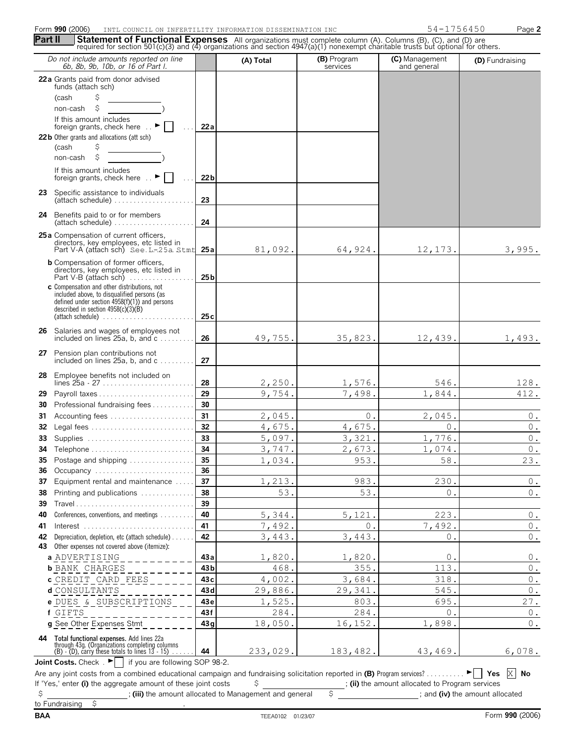## Form **990** (2006) Page **2 INTL COUNCIL ON INFERTILITY INFORMATION DISSEMINATION INC 54-1756450**

|    | Do not include amounts reported on line<br>6b, 8b, 9b, 10b, or 16 of Part I.                                                                                                                                                       |                 | (A) Total | (B) Program<br>services | (C) Management<br>and general | (D) Fundraising |
|----|------------------------------------------------------------------------------------------------------------------------------------------------------------------------------------------------------------------------------------|-----------------|-----------|-------------------------|-------------------------------|-----------------|
|    | 22 a Grants paid from donor advised                                                                                                                                                                                                |                 |           |                         |                               |                 |
|    | funds (attach sch)<br>\$                                                                                                                                                                                                           |                 |           |                         |                               |                 |
|    | (cash<br>\$<br>non-cash                                                                                                                                                                                                            |                 |           |                         |                               |                 |
|    | If this amount includes                                                                                                                                                                                                            |                 |           |                         |                               |                 |
|    | foreign grants, check here  ►                                                                                                                                                                                                      | 22 a            |           |                         |                               |                 |
|    | 22 b Other grants and allocations (att sch)                                                                                                                                                                                        |                 |           |                         |                               |                 |
|    | \$<br>(cash                                                                                                                                                                                                                        |                 |           |                         |                               |                 |
|    | \$<br>non-cash                                                                                                                                                                                                                     |                 |           |                         |                               |                 |
|    | If this amount includes<br>foreign grants, check here  ►                                                                                                                                                                           | 22 <sub>b</sub> |           |                         |                               |                 |
|    | 23 Specific assistance to individuals<br>$(attach schedule) \dots \dots \dots \dots \dots \dots \dots$                                                                                                                             | 23              |           |                         |                               |                 |
|    | 24 Benefits paid to or for members<br>$(attach schedule) \dots \dots \dots \dots \dots \dots \dots$                                                                                                                                | 24              |           |                         |                               |                 |
|    | 25 a Compensation of current officers,<br>directors, key employees, etc listed in<br>Part V-A (attach sch) See. L-25a. Stmt                                                                                                        | 25 a            | 81,092.   | 64,924.                 | 12,173.                       | 3,995.          |
|    | <b>b</b> Compensation of former officers.<br>directors, key employees, etc listed in<br>Part V-B (attach sch)                                                                                                                      | 25 <sub>b</sub> |           |                         |                               |                 |
|    | c Compensation and other distributions, not<br>included above, to disqualified persons (as<br>defined under section $4958(f)(1)$ ) and persons<br>described in section $4958(c)(3)(B)$                                             | 25c             |           |                         |                               |                 |
|    |                                                                                                                                                                                                                                    |                 |           |                         |                               |                 |
|    | 26 Salaries and wages of employees not<br>included on lines $25a$ , b, and $c$                                                                                                                                                     | 26              | 49,755.   | 35,823.                 | 12,439.                       | 1,493.          |
|    | 27 Pension plan contributions not<br>included on lines 25a, b, and c                                                                                                                                                               | 27              |           |                         |                               |                 |
|    | 28 Employee benefits not included on                                                                                                                                                                                               | 28              | 2,250.    | 1,576.                  | 546.                          | 128.            |
| 29 |                                                                                                                                                                                                                                    | 29              | 9,754.    | 7,498.                  | 1,844.                        | 412.            |
| 30 | Professional fundraising fees                                                                                                                                                                                                      | 30              |           |                         |                               |                 |
| 31 |                                                                                                                                                                                                                                    | 31              | 2,045.    | 0.                      | 2,045.                        | $0$ .           |
| 32 |                                                                                                                                                                                                                                    | 32              | 4,675.    | 4,675.                  | $0$ .                         | $0$ .           |
| 33 |                                                                                                                                                                                                                                    | 33              | 5,097.    | 3,321.                  | 1,776.                        | $\mathsf{O}$ .  |
|    |                                                                                                                                                                                                                                    | 34              | 3,747.    | 2,673.                  | 1,074.                        | 0.              |
| 35 | Postage and shipping                                                                                                                                                                                                               | 35              | 1,034.    | 953.                    | 58.                           | 23.             |
| 36 | Occupancy                                                                                                                                                                                                                          | 36              |           |                         |                               |                 |
| 37 | Equipment rental and maintenance                                                                                                                                                                                                   | 37              | 1,213.    | 983.                    | 230.                          | $0$ .           |
| 38 | Printing and publications                                                                                                                                                                                                          | 38              | 53.       | 53.                     | $\Omega$ .                    | $\mathbb O$ .   |
| 39 |                                                                                                                                                                                                                                    | 39              |           |                         |                               |                 |
| 40 | Conferences, conventions, and meetings                                                                                                                                                                                             | 40              | 5,344.    | 5,121.                  | 223.                          | $\,0$ .         |
| 41 | Interest                                                                                                                                                                                                                           | 41              | 7,492.    | $0$ .                   | 7,492.                        | $0$ .           |
| 42 | Depreciation, depletion, etc (attach schedule)<br>43 Other expenses not covered above (itemize):                                                                                                                                   | 42              | 3,443.    | 3,443.                  | 0.                            | $\,0$ .         |
|    | a ADVERTISING                                                                                                                                                                                                                      | 43 a            | 1,820.    | 1,820.                  | 0.                            | $0$ .           |
|    | <b>b</b> BANK CHARGES                                                                                                                                                                                                              | 43b             | 468.      | 355.                    | 113.                          | $0$ .           |
|    | <b>c</b> CREDIT CARD FEES                                                                                                                                                                                                          | 43c             | 4,002.    | 3,684.                  | 318.                          | $0$ .           |
|    | d CONSULTANTS                                                                                                                                                                                                                      | 43 <sub>d</sub> | 29,886.   | 29,341.                 | 545.                          | $0$ .           |
|    | e DUES & SUBSCRIPTIONS                                                                                                                                                                                                             | 43e             | 1,525.    | 803.                    | 695.                          | 27.             |
|    | f GIFTS                                                                                                                                                                                                                            | 43f             | 284.      | 284.                    | 0.                            | $0$ .           |
|    | g See Other Expenses Stmt                                                                                                                                                                                                          | 43 g            | 18,050.   | 16,152.                 | 1,898.                        | $0$ .           |
|    | <b>44</b> Total functional expenses. Add lines 22a<br>through 43g. (Organizations completing columns<br>(B) - (D), carry these totals to lines 13 - 15)<br><b>Joint Costs.</b> Check $\mathbf{P}$   if you are following SOP 98-2. | 44              | 233,029.  | 183,482.                | 43,469.                       | 6,078.          |

If 'Yes,' enter **(i)** the aggregate amount of these joint costs  $\frac{1}{2}$  ; **(ii)** the amount allocated to Program services ; **(iii)** the amount allocated to Management and general  $\frac{1}{2}$   $\frac{1}{2}$  and **(iv)** the amount Are any joint costs from a combined educational campaign and fundraising solicitation reported in (B) Program services? . . . . . . . . . . | Yes X | No

 $\overline{\phantom{a}}$  ; **(iii)** the amount allocated to Management and general to Fundraising **\$** .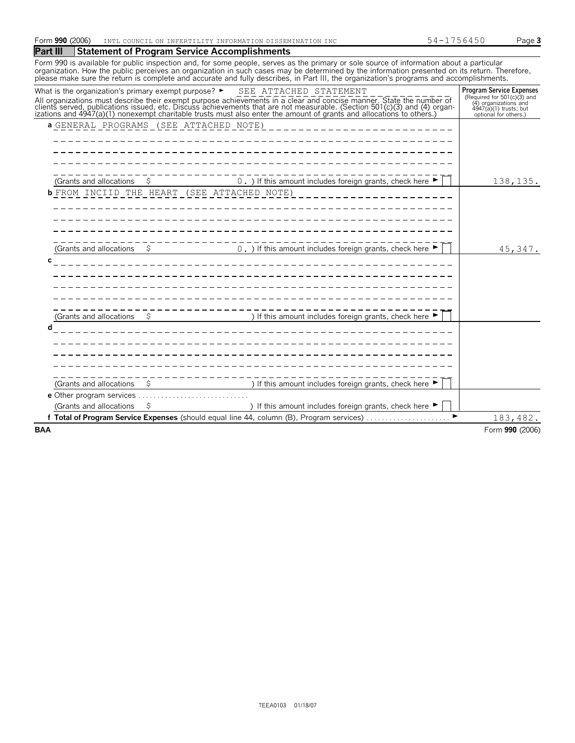| Form 990<br>(2006) | DISSEMINATION INC<br>TNTm<br>T COUNCT.<br>INFORMATION<br>T m sz<br>ON.<br>1 IV P<br>⊥ 1∖ ⊥ | .<br>. | ≙∩בי<br>aue a |
|--------------------|--------------------------------------------------------------------------------------------|--------|---------------|
|--------------------|--------------------------------------------------------------------------------------------|--------|---------------|

| Part III | <b>Statement of Program Service Accomplishments</b> |  |
|----------|-----------------------------------------------------|--|
|----------|-----------------------------------------------------|--|

Form 990 is available for public inspection and, for some people, serves as the primary or sole source of information about a particular organization. How the public perceives an organization in such cases may be determined by the information presented on its return. Therefore,<br>please make sure the return is complete and accurate and fully describes, in Par

| What is the organization's primary exempt purpose? $\blacktriangleright$ | SEE ATTACHED STATEMENT                                                                                                                                                                                                        | <b>Program Service Expenses</b>                                                                           |
|--------------------------------------------------------------------------|-------------------------------------------------------------------------------------------------------------------------------------------------------------------------------------------------------------------------------|-----------------------------------------------------------------------------------------------------------|
|                                                                          | All organizations must describe their exempt purpose achievements in a clear and concise manner. State the number of clients served, publications issued, etc. Discuss achievements that are not measurable. (Section 501(c)( | (Required for $501(c)(3)$ and<br>(4) organizations and<br>4947(a)(1) trusts; but<br>optional for others.) |
| a GENERAL PROGRAMS (SEE ATTACHED NOTE)                                   |                                                                                                                                                                                                                               |                                                                                                           |
|                                                                          |                                                                                                                                                                                                                               |                                                                                                           |
|                                                                          |                                                                                                                                                                                                                               |                                                                                                           |
|                                                                          |                                                                                                                                                                                                                               |                                                                                                           |
|                                                                          |                                                                                                                                                                                                                               |                                                                                                           |
| (Grants and allocations<br>\$                                            | 0. ) If this amount includes foreign grants, check here $\blacktriangleright$                                                                                                                                                 | 138,135.                                                                                                  |
| <b>b</b> FROM INCIID THE HEART (SEE ATTACHED NOTE)                       |                                                                                                                                                                                                                               |                                                                                                           |
|                                                                          |                                                                                                                                                                                                                               |                                                                                                           |
|                                                                          |                                                                                                                                                                                                                               |                                                                                                           |
|                                                                          |                                                                                                                                                                                                                               |                                                                                                           |
|                                                                          |                                                                                                                                                                                                                               |                                                                                                           |
| (Grants and allocations<br>\$                                            | 0. ) If this amount includes foreign grants, check here $\blacktriangleright$                                                                                                                                                 | 45,347.                                                                                                   |
| c                                                                        |                                                                                                                                                                                                                               |                                                                                                           |
|                                                                          |                                                                                                                                                                                                                               |                                                                                                           |
|                                                                          |                                                                                                                                                                                                                               |                                                                                                           |
|                                                                          |                                                                                                                                                                                                                               |                                                                                                           |
|                                                                          |                                                                                                                                                                                                                               |                                                                                                           |
| (Grants and allocations<br>\$                                            | ) If this amount includes foreign grants, check here ▶                                                                                                                                                                        |                                                                                                           |
| d                                                                        |                                                                                                                                                                                                                               |                                                                                                           |
|                                                                          |                                                                                                                                                                                                                               |                                                                                                           |
|                                                                          |                                                                                                                                                                                                                               |                                                                                                           |
|                                                                          |                                                                                                                                                                                                                               |                                                                                                           |
|                                                                          |                                                                                                                                                                                                                               |                                                                                                           |
| (Grants and allocations<br>\$                                            | ) If this amount includes foreign grants, check here ▶                                                                                                                                                                        |                                                                                                           |
|                                                                          |                                                                                                                                                                                                                               |                                                                                                           |
| (Grants and allocations<br>\$                                            | ) If this amount includes foreign grants, check here ▶                                                                                                                                                                        |                                                                                                           |
|                                                                          | Total of Program Service Expenses (should equal line 44, column (B), Program services)                                                                                                                                        | 183,482.                                                                                                  |
| <b>BAA</b>                                                               |                                                                                                                                                                                                                               | Form 990 (2006)                                                                                           |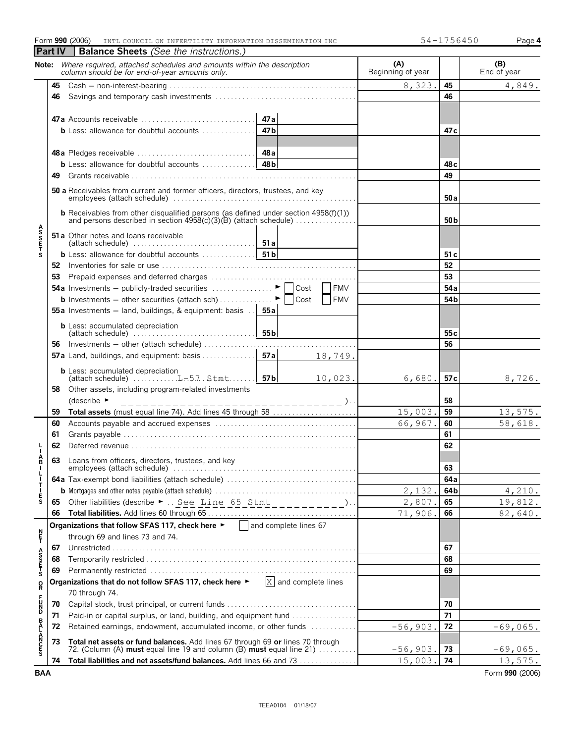|                       |         | Form 990 (2006)<br>INTL COUNCIL ON INFERTILITY INFORMATION DISSEMINATION INC                                                                            |                          | 54-1756450      | Page 4             |
|-----------------------|---------|---------------------------------------------------------------------------------------------------------------------------------------------------------|--------------------------|-----------------|--------------------|
|                       | Part IV | <b>Balance Sheets</b> (See the instructions.)                                                                                                           |                          |                 |                    |
|                       |         | Note: Where required, attached schedules and amounts within the description<br>column should be for end-of-year amounts only.                           | (A)<br>Beginning of year |                 | (B)<br>End of year |
|                       | 45      |                                                                                                                                                         | 8,323.                   | 45              | 4,849.             |
|                       | 46      |                                                                                                                                                         |                          | 46              |                    |
|                       |         |                                                                                                                                                         |                          |                 |                    |
|                       |         | 47a                                                                                                                                                     |                          |                 |                    |
|                       |         | 47 <sub>b</sub><br><b>b</b> Less: allowance for doubtful accounts $\ldots$                                                                              |                          | 47 c            |                    |
|                       |         |                                                                                                                                                         |                          |                 |                    |
|                       |         |                                                                                                                                                         |                          |                 |                    |
|                       |         | 48 <sub>b</sub><br><b>b</b> Less: allowance for doubtful accounts $\ldots \ldots \ldots$                                                                |                          | 48 <sub>c</sub> |                    |
|                       | 49      |                                                                                                                                                         |                          | 49              |                    |
|                       |         | 50 a Receivables from current and former officers, directors, trustees, and key                                                                         |                          | 50a             |                    |
|                       |         |                                                                                                                                                         |                          | 50 <sub>b</sub> |                    |
| <b>ASSETS</b>         |         | 51 a Other notes and loans receivable<br>(attach schedule) $\ldots \ldots \ldots \ldots \ldots \ldots \ldots \ldots$ 51 a                               |                          |                 |                    |
|                       |         |                                                                                                                                                         |                          | 51 c            |                    |
|                       |         |                                                                                                                                                         |                          | 52              |                    |
|                       | 53      |                                                                                                                                                         |                          | 53              |                    |
|                       |         | <b>54a</b> Investments – publicly-traded securities $\ldots \ldots \ldots \vdash  \cos \theta $<br><b>FMV</b>                                           |                          | 54a             |                    |
|                       |         | <b>FMV</b><br><b>b</b> Investments – other securities (attach sch)<br>Cost                                                                              |                          | 54 <sub>b</sub> |                    |
|                       |         | 55a Investments - land, buildings, & equipment: basis<br>55 a                                                                                           |                          |                 |                    |
|                       |         | <b>b</b> Less: accumulated depreciation<br>55 <sub>b</sub>                                                                                              |                          | 55 <sub>c</sub> |                    |
|                       | 56      | Investments - other (attach schedule)                                                                                                                   |                          | 56              |                    |
|                       |         | 57a Land, buildings, and equipment: basis<br>57a<br>18,749.                                                                                             |                          |                 |                    |
|                       |         | <b>b</b> Less: accumulated depreciation<br>57 b<br>10,023.                                                                                              | 6,680.                   | 57 c            | 8,726.             |
|                       | 58      | Other assets, including program-related investments                                                                                                     |                          |                 |                    |
|                       |         | (describe $\blacktriangleright$<br>------ )                                                                                                             |                          | 58              |                    |
|                       | 59      | Total assets (must equal line 74). Add lines 45 through 58                                                                                              | 15,003.                  | 59              | 13,575.            |
|                       | 60      |                                                                                                                                                         | 66,967.                  | 60              | 58,618.            |
|                       | 61      |                                                                                                                                                         |                          | 61              |                    |
|                       | 62      |                                                                                                                                                         |                          | 62              |                    |
|                       | 63      | Loans from officers, directors, trustees, and key                                                                                                       |                          |                 |                    |
|                       |         |                                                                                                                                                         |                          | 63<br>64a       |                    |
|                       |         |                                                                                                                                                         | 2,132.                   | 64b             | 4,210.             |
| <b>BILITIES</b>       | 65      | Other liabilities (describe $\blacktriangleright$ See Line 65 Stmt __________).                                                                         | 2,807.                   | 65              | 19,812.            |
|                       | 66      |                                                                                                                                                         | 71,906.                  | 66              | 82,640.            |
|                       |         | Organizations that follow SFAS 117, check here $\blacktriangleright$   and complete lines 67                                                            |                          |                 |                    |
| n<br>F                |         | through 69 and lines 73 and 74.                                                                                                                         |                          |                 |                    |
|                       | 67      |                                                                                                                                                         |                          | 67              |                    |
|                       | 68      |                                                                                                                                                         |                          | 68              |                    |
| A<br>S<br>S<br>T<br>S | 69      |                                                                                                                                                         |                          | 69              |                    |
| R                     |         | Organizations that do not follow SFAS 117, check here ▶<br>X and complete lines                                                                         |                          |                 |                    |
|                       |         | 70 through 74.                                                                                                                                          |                          |                 |                    |
| <b>PD220</b>          | 70      |                                                                                                                                                         |                          | 70              |                    |
|                       | 71      | Paid-in or capital surplus, or land, building, and equipment fund                                                                                       |                          | 71              |                    |
|                       | 72      | Retained earnings, endowment, accumulated income, or other funds                                                                                        | $-56,903.$               | 72              | $-69,065.$         |
| <b>BALANCES</b>       | 73      | Total net assets or fund balances. Add lines 67 through 69 or lines 70 through<br>72. (Column (A) must equal line 19 and column (B) must equal line 21) | $-56,903.$               | 73              | $-69,065.$         |
|                       | 74      | Total liabilities and net assets/fund balances. Add lines 66 and 73                                                                                     | 15,003.                  | 74              | 13,575.            |
| <b>BAA</b>            |         |                                                                                                                                                         |                          |                 | Form 990 (2006)    |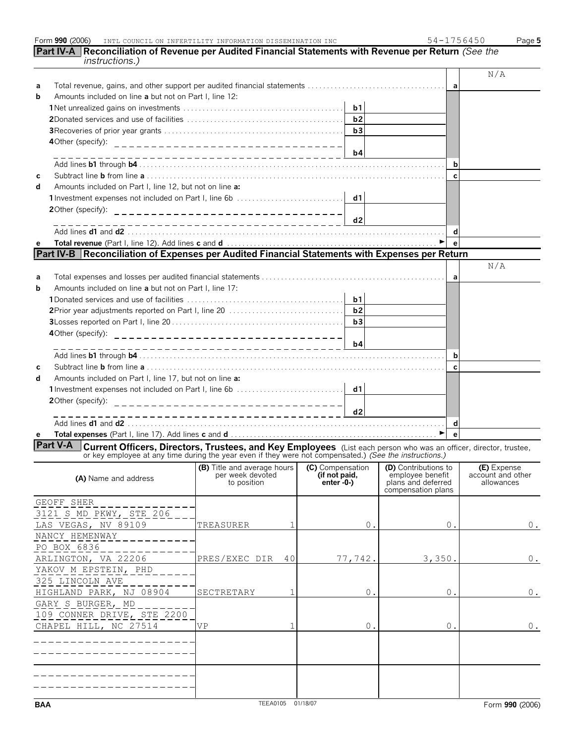| instructions.)                                                                                                                                                                                                            | Part IV-A  Reconciliation of Revenue per Audited Financial Statements with Revenue per Return <i>(See the</i> |               |                                       |                                  |
|---------------------------------------------------------------------------------------------------------------------------------------------------------------------------------------------------------------------------|---------------------------------------------------------------------------------------------------------------|---------------|---------------------------------------|----------------------------------|
|                                                                                                                                                                                                                           |                                                                                                               |               |                                       | N/A                              |
| a                                                                                                                                                                                                                         |                                                                                                               |               | a                                     |                                  |
| Amounts included on line a but not on Part I, line 12:<br>b                                                                                                                                                               |                                                                                                               |               |                                       |                                  |
|                                                                                                                                                                                                                           |                                                                                                               | b1            |                                       |                                  |
|                                                                                                                                                                                                                           |                                                                                                               | b2            |                                       |                                  |
|                                                                                                                                                                                                                           |                                                                                                               | b3            |                                       |                                  |
|                                                                                                                                                                                                                           |                                                                                                               | b4            |                                       |                                  |
|                                                                                                                                                                                                                           |                                                                                                               |               | b                                     |                                  |
| с                                                                                                                                                                                                                         |                                                                                                               |               | C                                     |                                  |
| Amounts included on Part I, line 12, but not on line a:<br>d                                                                                                                                                              |                                                                                                               |               |                                       |                                  |
|                                                                                                                                                                                                                           |                                                                                                               | d1            |                                       |                                  |
| 20ther (specify):                                                                                                                                                                                                         |                                                                                                               |               |                                       |                                  |
|                                                                                                                                                                                                                           |                                                                                                               | d2            |                                       |                                  |
|                                                                                                                                                                                                                           |                                                                                                               |               | d                                     |                                  |
| e                                                                                                                                                                                                                         |                                                                                                               |               |                                       |                                  |
| Part IV-B   Reconciliation of Expenses per Audited Financial Statements with Expenses per Return                                                                                                                          |                                                                                                               |               |                                       |                                  |
|                                                                                                                                                                                                                           |                                                                                                               |               |                                       | N/A                              |
| a<br>Amounts included on line a but not on Part I. line 17:                                                                                                                                                               |                                                                                                               |               | a                                     |                                  |
| b                                                                                                                                                                                                                         |                                                                                                               | b1            |                                       |                                  |
|                                                                                                                                                                                                                           |                                                                                                               | b2            |                                       |                                  |
|                                                                                                                                                                                                                           |                                                                                                               | b3            |                                       |                                  |
| 4Other (specify):                                                                                                                                                                                                         | ---------------------------------                                                                             |               |                                       |                                  |
|                                                                                                                                                                                                                           |                                                                                                               | b4            |                                       |                                  |
|                                                                                                                                                                                                                           |                                                                                                               |               | b                                     |                                  |
| с                                                                                                                                                                                                                         |                                                                                                               |               | C                                     |                                  |
| Amounts included on Part I, line 17, but not on line a:<br>d                                                                                                                                                              |                                                                                                               |               |                                       |                                  |
| 1 Investment expenses not included on Part I, line 6b                                                                                                                                                                     |                                                                                                               | d1            |                                       |                                  |
| 20ther (specify):                                                                                                                                                                                                         | _________________________________                                                                             |               |                                       |                                  |
|                                                                                                                                                                                                                           | ______________________________                                                                                | d2            |                                       |                                  |
|                                                                                                                                                                                                                           |                                                                                                               |               | d                                     |                                  |
| е<br><b>Part V-A</b>                                                                                                                                                                                                      |                                                                                                               |               | $\blacktriangleright$<br>$\mathbf{e}$ |                                  |
| Current Officers, Directors, Trustees, and Key Employees (List each person who was an officer, director, trustee, or key employee at any time during the year even if they were not compensated.) (See the instructions.) |                                                                                                               |               |                                       |                                  |
|                                                                                                                                                                                                                           | (B) Title and average hours (C) Compensation (D) Contributions to<br>per week devoted                         | (if not paid, | employee benefit                      | (E) Expense<br>account and other |
| (A) Name and address                                                                                                                                                                                                      | to position                                                                                                   | enter -0-)    | plans and deferred                    | allowances                       |
|                                                                                                                                                                                                                           |                                                                                                               |               | compensation plans                    |                                  |
| GEOFF SHER                                                                                                                                                                                                                |                                                                                                               |               |                                       |                                  |
| 3121 S MD PKWY, STE 206                                                                                                                                                                                                   |                                                                                                               |               |                                       |                                  |
| LAS VEGAS, NV 89109<br>NANCY HEMENWAY                                                                                                                                                                                     | TREASURER<br>1                                                                                                | $0$ .         | $0$ .                                 | $0$ .                            |
| PO BOX 6836                                                                                                                                                                                                               |                                                                                                               |               |                                       |                                  |
| ARLINGTON, VA 22206                                                                                                                                                                                                       | PRES/EXEC DIR<br>40                                                                                           | 77,742.       | 3,350.                                | $0$ .                            |
| YAKOV M EPSTEIN, PHD                                                                                                                                                                                                      |                                                                                                               |               |                                       |                                  |
| 325 LINCOLN AVE                                                                                                                                                                                                           |                                                                                                               |               |                                       |                                  |
| HIGHLAND PARK, NJ 08904                                                                                                                                                                                                   | SECTRETARY<br>1                                                                                               | 0.            | 0.                                    | $0$ .                            |
| GARY S BURGER, MD                                                                                                                                                                                                         |                                                                                                               |               |                                       |                                  |
| 109 CONNER DRIVE, STE 2200                                                                                                                                                                                                |                                                                                                               |               |                                       |                                  |
| CHAPEL HILL, NC 27514                                                                                                                                                                                                     | VP                                                                                                            | 0.            | 0.                                    | $0$ .                            |
|                                                                                                                                                                                                                           |                                                                                                               |               |                                       |                                  |
|                                                                                                                                                                                                                           |                                                                                                               |               |                                       |                                  |
|                                                                                                                                                                                                                           |                                                                                                               |               |                                       |                                  |
|                                                                                                                                                                                                                           |                                                                                                               |               |                                       |                                  |
|                                                                                                                                                                                                                           |                                                                                                               |               |                                       |                                  |
| <b>BAA</b>                                                                                                                                                                                                                | TEEA0105 01/18/07                                                                                             |               |                                       | Form 990 (2006)                  |

Form **990** (2006) Page **5**

**INTL COUNCIL ON INFERTILITY INFORMATION DISSEMINATION INC 54-1756450**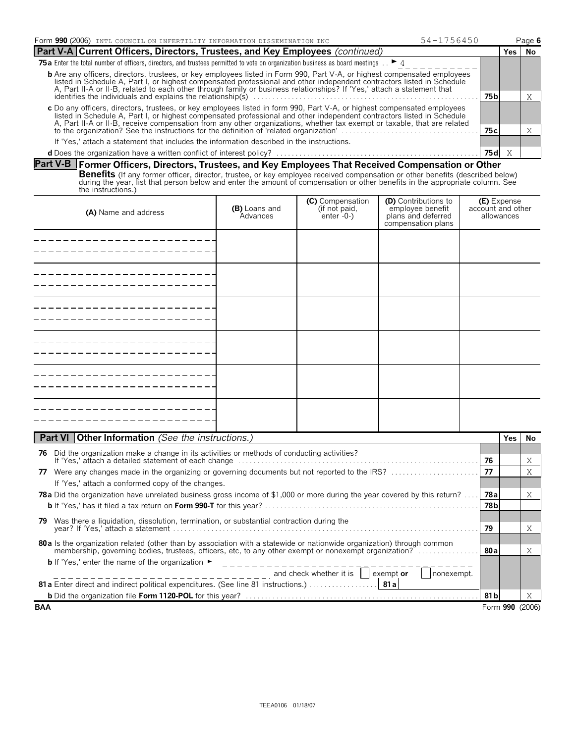| Form 990 (2006) INTL COUNCIL ON INFERTILITY INFORMATION DISSEMINATION INC<br>$54 - 1756450$                                                                                                                                                                                                                                                                                          |       |       | Page 6 |
|--------------------------------------------------------------------------------------------------------------------------------------------------------------------------------------------------------------------------------------------------------------------------------------------------------------------------------------------------------------------------------------|-------|-------|--------|
| <b>Part V-A Current Officers, Directors, Trustees, and Key Employees</b> (continued)                                                                                                                                                                                                                                                                                                 |       | Yes l | No     |
| <b>75 a</b> Enter the total number of officers, directors, and trustees permitted to vote on organization business as board meetings $\therefore$ $\blacktriangleright$ 4                                                                                                                                                                                                            |       |       |        |
| <b>b</b> Are any officers, directors, trustees, or key employees listed in Form 990, Part V-A, or highest compensated employees<br>listed in Schedule A, Part I, or highest compensated professional and other independent contractors listed in Schedule<br>A, Part II-A or II-B, related to each other through family or business relationships? If 'Yes,' attach a statement that |       |       |        |
| identifies the individuals and explains the relationship(s)<br>75 bl                                                                                                                                                                                                                                                                                                                 |       |       |        |
| c Do any officers, directors, trustees, or key employees listed in form 990, Part V-A, or highest compensated employees<br>listed in Schedule A, Part I, or highest compensated professional and other independent contractors listed in Schedule                                                                                                                                    |       |       |        |
| A, Part II-A or II-B, receive compensation from any other organizations, whether tax exempt or taxable, that are related to the organization? See the instructions for the definition of 'related organization'                                                                                                                                                                      | 75 c  |       |        |
| If 'Yes,' attach a statement that includes the information described in the instructions.                                                                                                                                                                                                                                                                                            |       |       |        |
|                                                                                                                                                                                                                                                                                                                                                                                      | 75 dl |       |        |

## **Part V-B Former Officers, Directors, Trustees, and Key Employees That Received Compensation or Other**

**Benefits** (If any former officer, director, trustee, or key employee received compensation or other benefits (described below)<br>during the year, list that person below and enter the amount of compensation or other benefits the instructions.)

| (A) Name and address | (B) Loans and<br>Advances | <b>(C)</b> Compensation<br>(if not paid,<br>enter -0-) | <b>(D)</b> Contributions to<br>employee benefit<br>plans and deferred<br>compensation plans | <b>(E)</b> Expense<br>account and other<br>allowances |
|----------------------|---------------------------|--------------------------------------------------------|---------------------------------------------------------------------------------------------|-------------------------------------------------------|
|                      |                           |                                                        |                                                                                             |                                                       |
|                      |                           |                                                        |                                                                                             |                                                       |
|                      |                           |                                                        |                                                                                             |                                                       |
|                      |                           |                                                        |                                                                                             |                                                       |
|                      |                           |                                                        |                                                                                             |                                                       |
|                      |                           |                                                        |                                                                                             |                                                       |

| <b>Part VI   Other Information</b> (See the instructions.)                                                                                                                                                                       |       | Yes. | No.             |
|----------------------------------------------------------------------------------------------------------------------------------------------------------------------------------------------------------------------------------|-------|------|-----------------|
| Did the organization make a change in its activities or methods of conducting activities?<br>76                                                                                                                                  |       |      |                 |
|                                                                                                                                                                                                                                  | 76    |      | Χ               |
| Were any changes made in the organizing or governing documents but not reported to the IRS?<br>77                                                                                                                                | 77    |      | Χ               |
| If 'Yes,' attach a conformed copy of the changes.                                                                                                                                                                                |       |      |                 |
| <b>78a</b> Did the organization have unrelated business gross income of \$1,000 or more during the year covered by this return?                                                                                                  | 78al  |      | X               |
|                                                                                                                                                                                                                                  | 78 bl |      |                 |
| Was there a liquidation, dissolution, termination, or substantial contraction during the<br>79                                                                                                                                   |       |      |                 |
|                                                                                                                                                                                                                                  | 79    |      | X               |
| 80 a ls the organization related (other than by association with a statewide or nationwide organization) through common<br>membership, governing bodies, trustees, officers, etc, to any other exempt or nonexempt organization? | 80 al |      | X               |
| <b>b</b> If 'Yes,' enter the name of the organization $\blacktriangleright$                                                                                                                                                      |       |      |                 |
| $\frac{1}{2}$ = $\frac{1}{2}$ = $\frac{1}{2}$ = $\frac{1}{2}$ = $\frac{1}{2}$ = $\frac{1}{2}$ and check whether it is $\frac{1}{2}$ exempt or<br>nonexempt.                                                                      |       |      |                 |
| 81 a Enter direct and indirect political expenditures. (See line 81 instructions.) 81 a                                                                                                                                          |       |      |                 |
|                                                                                                                                                                                                                                  | 81 bl |      | X               |
| <b>BAA</b>                                                                                                                                                                                                                       |       |      | Form 990 (2006) |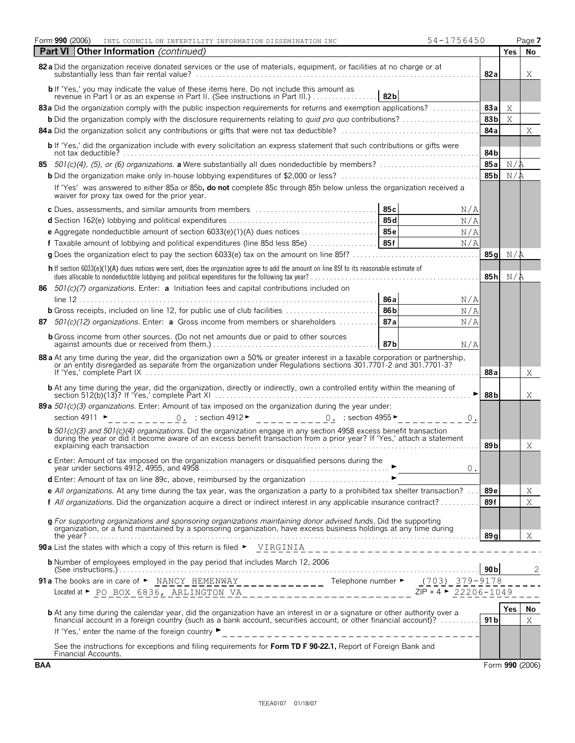| Form 990 (2006)<br>54-1756450<br>INTL COUNCIL ON INFERTILITY INFORMATION DISSEMINATION INC                                                                                                                                                        |             |                 |            | Page 7          |  |
|---------------------------------------------------------------------------------------------------------------------------------------------------------------------------------------------------------------------------------------------------|-------------|-----------------|------------|-----------------|--|
| <b>Other Information</b> (continued)<br><b>Part VI</b>                                                                                                                                                                                            |             |                 | <b>Yes</b> | No              |  |
| 82 a Did the organization receive donated services or the use of materials, equipment, or facilities at no charge or at                                                                                                                           |             |                 |            |                 |  |
| b If 'Yes,' you may indicate the value of these items here. Do not include this amount as<br>revenue in Part I or as an expense in Part II. (See instructions in Part III.)<br>82 <sub>b</sub>                                                    |             |                 |            |                 |  |
| 83a Did the organization comply with the public inspection requirements for returns and exemption applications?                                                                                                                                   |             |                 |            |                 |  |
| <b>b</b> Did the organization comply with the disclosure requirements relating to <i>quid pro quo</i> contributions?                                                                                                                              |             |                 |            |                 |  |
|                                                                                                                                                                                                                                                   |             | 84a             |            | Χ               |  |
| <b>b</b> If 'Yes,' did the organization include with every solicitation an express statement that such contributions or gifts were                                                                                                                |             | 84b             |            |                 |  |
| 85                                                                                                                                                                                                                                                |             |                 |            |                 |  |
|                                                                                                                                                                                                                                                   |             | 85 <sub>b</sub> | N/A        |                 |  |
| If 'Yes' was answered to either 85a or 85b, do not complete 85c through 85h below unless the organization received a<br>waiver for proxy tax owed for the prior year.                                                                             |             |                 |            |                 |  |
| c Dues, assessments, and similar amounts from members                                                                                                                                                                                             | 85 с<br>N/A |                 |            |                 |  |
|                                                                                                                                                                                                                                                   | N/A         |                 |            |                 |  |
|                                                                                                                                                                                                                                                   | N/A         |                 |            |                 |  |
|                                                                                                                                                                                                                                                   | N/A         |                 |            |                 |  |
|                                                                                                                                                                                                                                                   |             | 85 a            | N/R        |                 |  |
| h If section 6033(e)(1)(A) dues notices were sent, does the organization agree to add the amount on line 85f to its reasonable estimate of<br>dues allocable to nondeductible lobbying and political expenditures for the following tax year?<br> |             | 85h             | N/A        |                 |  |
| $501(c)(7)$ organizations. Enter: <b>a</b> Initiation fees and capital contributions included on<br>86                                                                                                                                            | 86 a<br>N/A |                 |            |                 |  |
| <b>b</b> Gross receipts, included on line 12, for public use of club facilities                                                                                                                                                                   | 86b<br>N/A  |                 |            |                 |  |
| $501(c)(12)$ organizations. Enter: <b>a</b> Gross income from members or shareholders<br>87                                                                                                                                                       | 87a<br>N/A  |                 |            |                 |  |
| <b>b</b> Gross income from other sources. (Do not net amounts due or paid to other sources                                                                                                                                                        | 87b<br>N/A  |                 |            |                 |  |
| 88 a At any time during the year, did the organization own a 50% or greater interest in a taxable corporation or partnership,<br>or an entity disregarded as separate from the organization under Regulations sections 301.7701-2 and 301.7701-37 |             | 88a             |            | Χ               |  |
|                                                                                                                                                                                                                                                   |             |                 |            |                 |  |
| 89 a $501(c)(3)$ organizations. Enter: Amount of tax imposed on the organization during the year under:                                                                                                                                           |             |                 |            |                 |  |
| 0. ; section 4912 $\blacktriangleright$ 0. ; section 4955 $\blacktriangleright$<br>section 4911 $\blacktriangleright$                                                                                                                             | 0.          |                 |            |                 |  |
| <b>b</b> 501(c)(3) and 501(c)(4) organizations. Did the organization engage in any section 4958 excess benefit transaction during the year or did it become aware of an excess benefit transaction from a prior year? If 'Yes,' att               |             |                 |            |                 |  |
|                                                                                                                                                                                                                                                   |             |                 |            |                 |  |
| c Enter: Amount of tax imposed on the organization managers or disqualified persons during the<br>$0$ .                                                                                                                                           |             |                 |            |                 |  |
| d Enter: Amount of tax on line 89c, above, reimbursed by the organization ▶                                                                                                                                                                       |             |                 |            |                 |  |
| e All organizations. At any time during the tax year, was the organization a party to a prohibited tax shelter transaction?                                                                                                                       |             |                 |            |                 |  |
| f All organizations. Did the organization acquire a direct or indirect interest in any applicable insurance contract?                                                                                                                             |             |                 |            |                 |  |
| g For supporting organizations and sponsoring organizations maintaining donor advised funds. Did the supporting<br>organization, or a fund maintained by a sponsoring organization, have excess business holdings at any time dur                 |             |                 |            |                 |  |
|                                                                                                                                                                                                                                                   |             | 89q             |            | Χ               |  |
|                                                                                                                                                                                                                                                   |             |                 |            |                 |  |
| <b>b</b> Number of employees employed in the pay period that includes March 12, 2006                                                                                                                                                              |             | 90 <sub>b</sub> |            | $\overline{c}$  |  |
| 91 a The books are in care of $\triangleright$ NANCY HEMENWAY __________ Telephone number $\triangleright$ (703) 379-9178                                                                                                                         |             |                 |            |                 |  |
| Located at ► PO_BOX_6836, ARLINGTON_VA_____________________________ZIP + 4 ► 22206-1049                                                                                                                                                           |             |                 |            |                 |  |
|                                                                                                                                                                                                                                                   |             |                 | Yes        | No.             |  |
| <b>b</b> At any time during the calendar year, did the organization have an interest in or a signature or other authority over a financial account in a foreign country (such as a bank account, securities account, or other finan               |             | 91 <sub>b</sub> |            | X               |  |
|                                                                                                                                                                                                                                                   |             |                 |            |                 |  |
| See the instructions for exceptions and filing requirements for Form TD F 90-22.1, Report of Foreign Bank and<br>Financial Accounts.                                                                                                              |             |                 |            |                 |  |
| BAA                                                                                                                                                                                                                                               |             |                 |            | Form 990 (2006) |  |

| ۰. |  |
|----|--|
|    |  |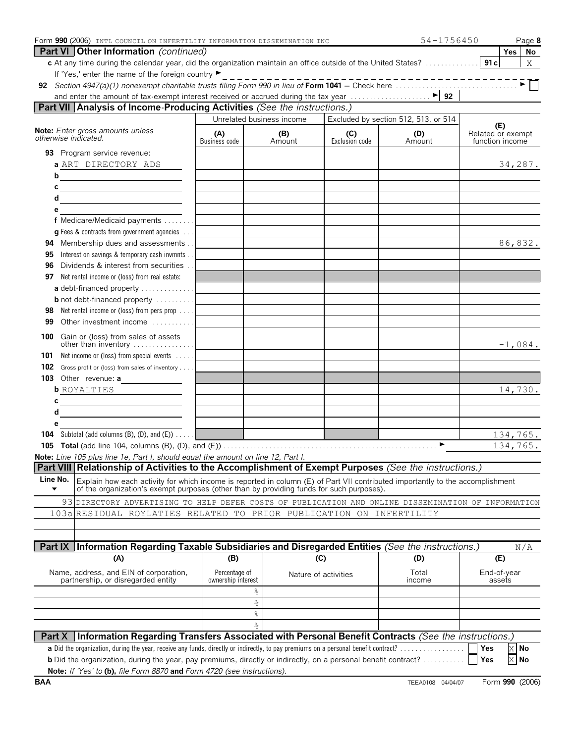| Form 990 (2006) INTL COUNCIL ON INFERTILITY INFORMATION DISSEMINATION INC                                                                                                                                                  |                                     |               |                       | 54-1756450                           | Page 8                                      |  |
|----------------------------------------------------------------------------------------------------------------------------------------------------------------------------------------------------------------------------|-------------------------------------|---------------|-----------------------|--------------------------------------|---------------------------------------------|--|
| Part VI   Other Information (continued)<br>c At any time during the calendar year, did the organization maintain an office outside of the United States?                                                                   |                                     |               |                       |                                      | Yes  <br>No<br>91c<br>X                     |  |
| If 'Yes,' enter the name of the foreign country ▶                                                                                                                                                                          |                                     |               |                       |                                      |                                             |  |
|                                                                                                                                                                                                                            |                                     |               |                       | _____________                        |                                             |  |
|                                                                                                                                                                                                                            |                                     |               |                       |                                      |                                             |  |
| Part VII Analysis of Income-Producing Activities (See the instructions.)                                                                                                                                                   |                                     |               |                       |                                      |                                             |  |
|                                                                                                                                                                                                                            | Unrelated business income           |               |                       | Excluded by section 512, 513, or 514 |                                             |  |
| Note: Enter gross amounts unless<br>otherwise indicated.                                                                                                                                                                   | (A)<br>Business code                | (B)<br>Amount | (C)<br>Exclusion code | (D)<br>Amount                        | (E)<br>Related or exempt<br>function income |  |
| 93 Program service revenue:                                                                                                                                                                                                |                                     |               |                       |                                      |                                             |  |
| a ART DIRECTORY ADS                                                                                                                                                                                                        |                                     |               |                       |                                      | 34,287.                                     |  |
| b<br><u> 1989 - Johann Barn, fransk politik (</u>                                                                                                                                                                          |                                     |               |                       |                                      |                                             |  |
| С<br><u> 1989 - Jan Samuel Barbara, político establecido e a la contrada de la contrada de la contrada de la contrada</u>                                                                                                  |                                     |               |                       |                                      |                                             |  |
| d<br><u> 1989 - Johann Barbara, martin amerikan per</u>                                                                                                                                                                    |                                     |               |                       |                                      |                                             |  |
| е                                                                                                                                                                                                                          |                                     |               |                       |                                      |                                             |  |
| f Medicare/Medicaid payments<br><b>q</b> Fees & contracts from government agencies $\ldots$                                                                                                                                |                                     |               |                       |                                      |                                             |  |
| Membership dues and assessments<br>94                                                                                                                                                                                      |                                     |               |                       |                                      | 86,832.                                     |  |
| Interest on savings & temporary cash invmnts<br>95                                                                                                                                                                         |                                     |               |                       |                                      |                                             |  |
| Dividends & interest from securities<br>96                                                                                                                                                                                 |                                     |               |                       |                                      |                                             |  |
| Net rental income or (loss) from real estate:<br>97                                                                                                                                                                        |                                     |               |                       |                                      |                                             |  |
| a debt-financed property                                                                                                                                                                                                   |                                     |               |                       |                                      |                                             |  |
| <b>b</b> not debt-financed property                                                                                                                                                                                        |                                     |               |                       |                                      |                                             |  |
| Net rental income or (loss) from pers prop<br>98                                                                                                                                                                           |                                     |               |                       |                                      |                                             |  |
| Other investment income<br>99                                                                                                                                                                                              |                                     |               |                       |                                      |                                             |  |
| 100<br>Gain or (loss) from sales of assets<br>other than inventory                                                                                                                                                         |                                     |               |                       |                                      | $-1,084.$                                   |  |
| Net income or (loss) from special events<br>101                                                                                                                                                                            |                                     |               |                       |                                      |                                             |  |
| 102<br>Gross profit or (loss) from sales of inventory                                                                                                                                                                      |                                     |               |                       |                                      |                                             |  |
|                                                                                                                                                                                                                            |                                     |               |                       |                                      |                                             |  |
| <b>b</b> ROYALTIES                                                                                                                                                                                                         |                                     |               |                       |                                      | 14,730.                                     |  |
| С                                                                                                                                                                                                                          |                                     |               |                       |                                      |                                             |  |
| d<br><u> 1989 - Johann Barbara, martxa al-</u>                                                                                                                                                                             |                                     |               |                       |                                      |                                             |  |
| е                                                                                                                                                                                                                          |                                     |               |                       |                                      |                                             |  |
| <b>104</b> Subtotal (add columns $(B)$ , $(D)$ , and $(E)$ ) $\ldots$                                                                                                                                                      |                                     |               |                       | ►                                    | 134,765.                                    |  |
| Note: Line 105 plus line 1e, Part I, should equal the amount on line 12, Part I.                                                                                                                                           |                                     |               |                       |                                      | 134,765.                                    |  |
| Part VIII Relationship of Activities to the Accomplishment of Exempt Purposes (See the instructions.)                                                                                                                      |                                     |               |                       |                                      |                                             |  |
| Line No.                                                                                                                                                                                                                   |                                     |               |                       |                                      |                                             |  |
| Explain how each activity for which income is reported in column (E) of Part VII contributed importantly to the accomplishment<br>of the organization's exempt purposes (other than by providing funds for such purposes). |                                     |               |                       |                                      |                                             |  |
| 93 DIRECTORY ADVERTISING TO HELP DEFER COSTS OF PUBLICATION AND ONLINE DISSEMINATION OF INFORMATION                                                                                                                        |                                     |               |                       |                                      |                                             |  |
| 103a RESIDUAL ROYLATIES RELATED TO PRIOR PUBLICATION ON INFERTILITY                                                                                                                                                        |                                     |               |                       |                                      |                                             |  |
|                                                                                                                                                                                                                            |                                     |               |                       |                                      |                                             |  |
|                                                                                                                                                                                                                            |                                     |               |                       |                                      |                                             |  |
| Part IX Information Regarding Taxable Subsidiaries and Disregarded Entities (See the instructions.)                                                                                                                        |                                     |               |                       |                                      | N/A                                         |  |
| (A)                                                                                                                                                                                                                        | (B)                                 |               | (C)                   | (D)                                  | (E)                                         |  |
| Name, address, and EIN of corporation,<br>partnership, or disregarded entity                                                                                                                                               | Percentage of<br>ownership interest |               | Nature of activities  | Total<br>income                      | End-of-year<br>assets                       |  |
|                                                                                                                                                                                                                            | g.                                  |               |                       |                                      |                                             |  |
|                                                                                                                                                                                                                            | နွ                                  |               |                       |                                      |                                             |  |
|                                                                                                                                                                                                                            | နွ                                  |               |                       |                                      |                                             |  |
|                                                                                                                                                                                                                            | $\frac{6}{10}$                      |               |                       |                                      |                                             |  |
| Information Regarding Transfers Associated with Personal Benefit Contracts (See the instructions.)<br><b>Part X</b>                                                                                                        |                                     |               |                       |                                      | Yes                                         |  |
| <b>b</b> Did the organization, during the year, pay premiums, directly or indirectly, on a personal benefit contract?                                                                                                      |                                     |               |                       |                                      | X No<br>$X$ No<br>Yes                       |  |
| Note: If 'Yes' to (b), file Form 8870 and Form 4720 (see instructions).                                                                                                                                                    |                                     |               |                       |                                      |                                             |  |